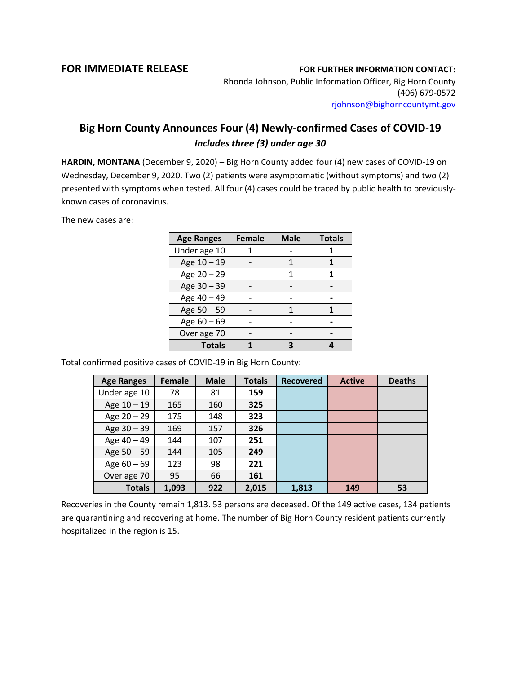## **FOR IMMEDIATE RELEASE FOR FURTHER INFORMATION CONTACT:**

Rhonda Johnson, Public Information Officer, Big Horn County (406) 679-0572 [rjohnson@bighorncountymt.gov](mailto:rjohnson@bighorncountymt.gov)

## **Big Horn County Announces Four (4) Newly-confirmed Cases of COVID-19** *Includes three (3) under age 30*

**HARDIN, MONTANA** (December 9, 2020) – Big Horn County added four (4) new cases of COVID-19 on Wednesday, December 9, 2020. Two (2) patients were asymptomatic (without symptoms) and two (2) presented with symptoms when tested. All four (4) cases could be traced by public health to previouslyknown cases of coronavirus.

The new cases are:

| <b>Age Ranges</b> | <b>Female</b> | <b>Male</b> | <b>Totals</b> |
|-------------------|---------------|-------------|---------------|
| Under age 10      |               |             |               |
| Age 10 - 19       |               |             |               |
| Age 20 - 29       |               | 1           |               |
| Age 30 - 39       |               |             |               |
| Age 40 - 49       |               |             |               |
| Age 50 - 59       |               | 1           |               |
| Age 60 - 69       |               |             |               |
| Over age 70       |               |             |               |
| <b>Totals</b>     |               |             |               |

Total confirmed positive cases of COVID-19 in Big Horn County:

| <b>Age Ranges</b> | Female | <b>Male</b> | <b>Totals</b> | <b>Recovered</b> | <b>Active</b> | <b>Deaths</b> |
|-------------------|--------|-------------|---------------|------------------|---------------|---------------|
| Under age 10      | 78     | 81          | 159           |                  |               |               |
| Age 10 - 19       | 165    | 160         | 325           |                  |               |               |
| Age $20 - 29$     | 175    | 148         | 323           |                  |               |               |
| Age 30 - 39       | 169    | 157         | 326           |                  |               |               |
| Age 40 - 49       | 144    | 107         | 251           |                  |               |               |
| Age 50 - 59       | 144    | 105         | 249           |                  |               |               |
| Age $60 - 69$     | 123    | 98          | 221           |                  |               |               |
| Over age 70       | 95     | 66          | 161           |                  |               |               |
| <b>Totals</b>     | 1,093  | 922         | 2,015         | 1,813            | 149           | 53            |

Recoveries in the County remain 1,813. 53 persons are deceased. Of the 149 active cases, 134 patients are quarantining and recovering at home. The number of Big Horn County resident patients currently hospitalized in the region is 15.